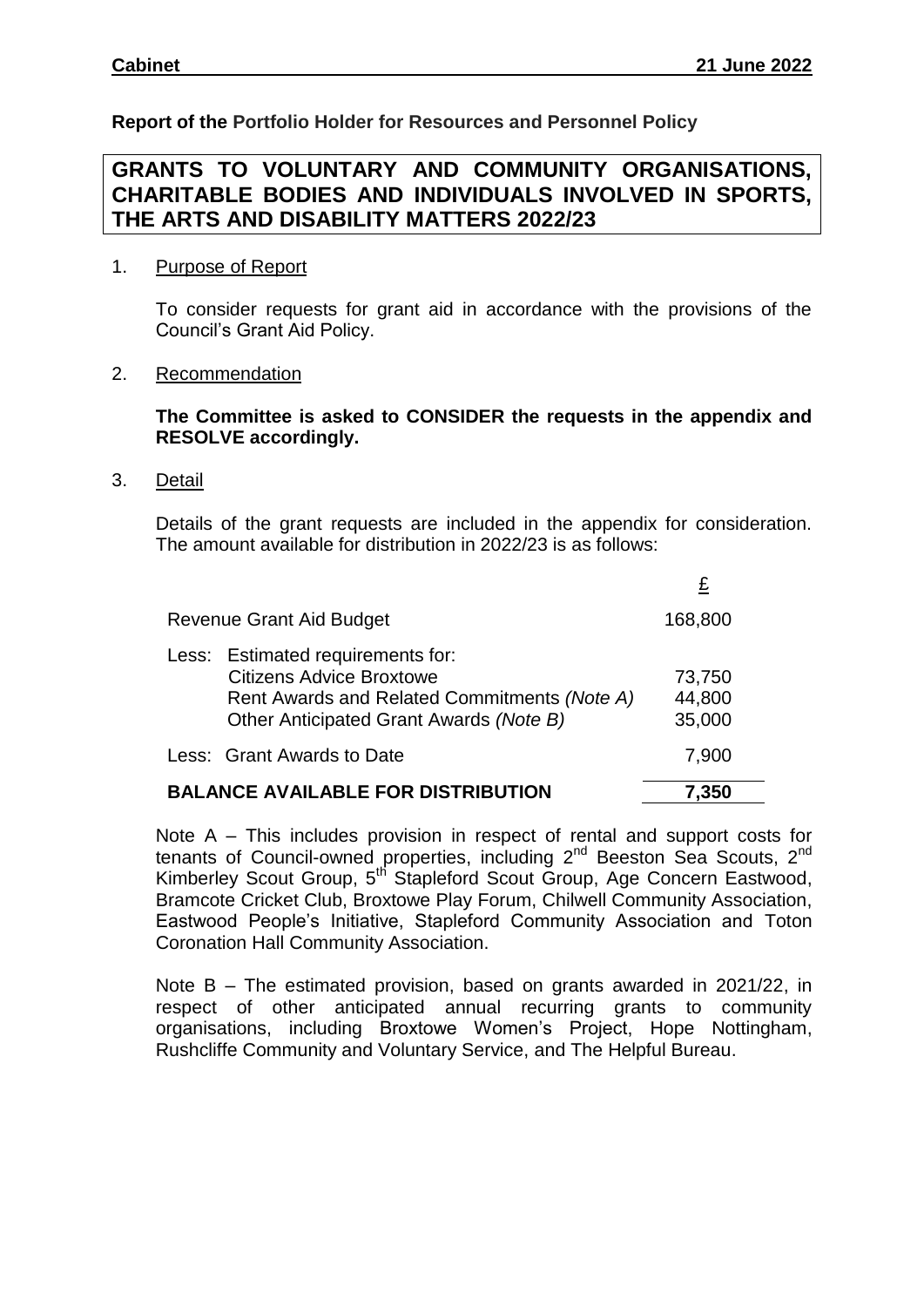**Report of the Portfolio Holder for Resources and Personnel Policy**

# **GRANTS TO VOLUNTARY AND COMMUNITY ORGANISATIONS, CHARITABLE BODIES AND INDIVIDUALS INVOLVED IN SPORTS, THE ARTS AND DISABILITY MATTERS 2022/23**

## 1. Purpose of Report

To consider requests for grant aid in accordance with the provisions of the Council's Grant Aid Policy.

## 2. Recommendation

# **The Committee is asked to CONSIDER the requests in the appendix and RESOLVE accordingly.**

3. Detail

Details of the grant requests are included in the appendix for consideration. The amount available for distribution in 2022/23 is as follows:

| Revenue Grant Aid Budget                  |                                                                                                                                                                 | 168,800                    |
|-------------------------------------------|-----------------------------------------------------------------------------------------------------------------------------------------------------------------|----------------------------|
|                                           | Less: Estimated requirements for:<br><b>Citizens Advice Broxtowe</b><br>Rent Awards and Related Commitments (Note A)<br>Other Anticipated Grant Awards (Note B) | 73,750<br>44,800<br>35,000 |
|                                           | Less: Grant Awards to Date                                                                                                                                      | 7,900                      |
| <b>BALANCE AVAILABLE FOR DISTRIBUTION</b> | 7,350                                                                                                                                                           |                            |

Note A – This includes provision in respect of rental and support costs for tenants of Council-owned properties, including 2<sup>nd</sup> Beeston Sea Scouts, 2<sup>nd</sup> Kimberley Scout Group, 5<sup>th</sup> Stapleford Scout Group, Age Concern Eastwood, Bramcote Cricket Club, Broxtowe Play Forum, Chilwell Community Association, Eastwood People's Initiative, Stapleford Community Association and Toton Coronation Hall Community Association.

Note B – The estimated provision, based on grants awarded in 2021/22, in respect of other anticipated annual recurring grants to community organisations, including Broxtowe Women's Project, Hope Nottingham, Rushcliffe Community and Voluntary Service, and The Helpful Bureau.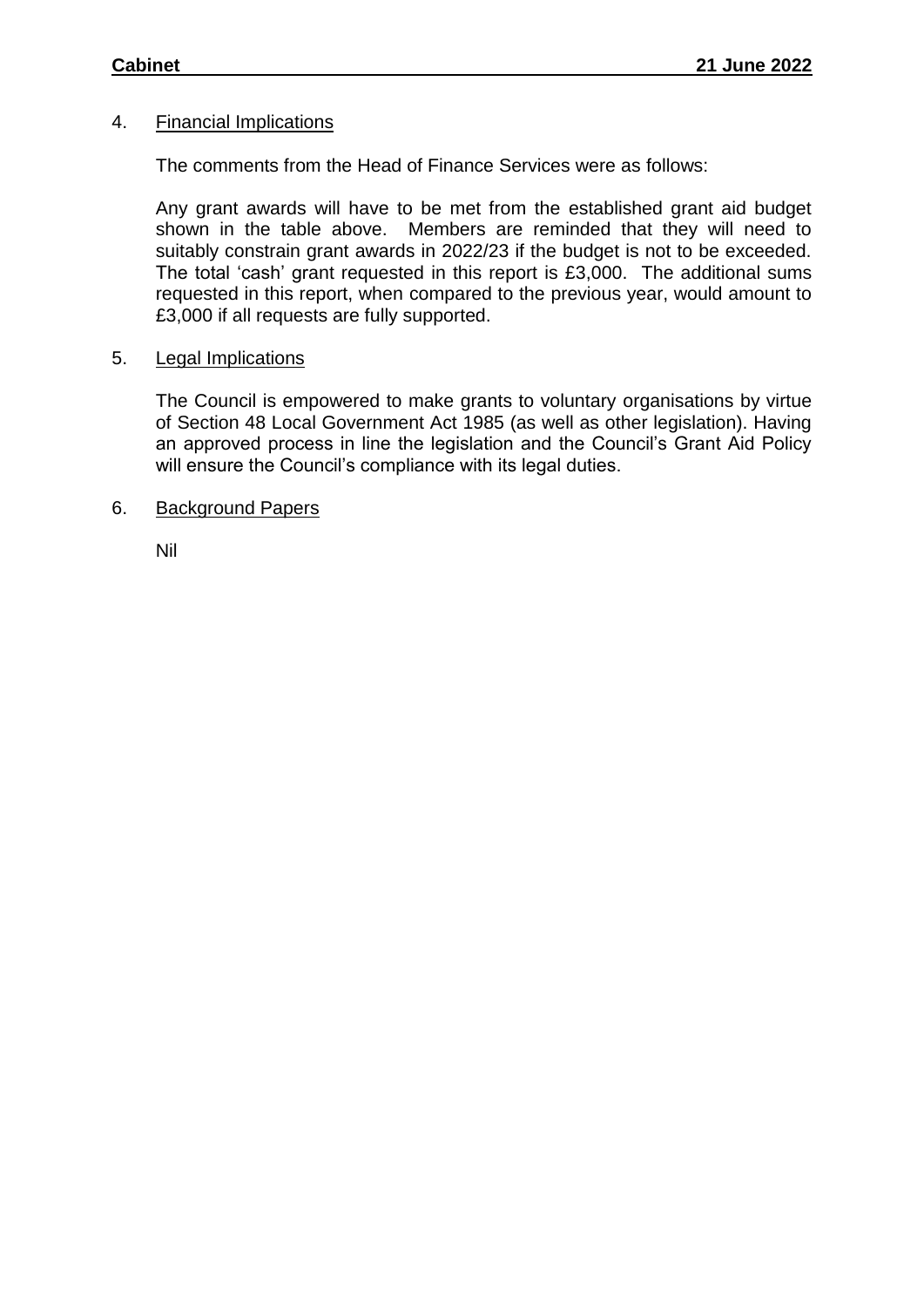## 4. Financial Implications

The comments from the Head of Finance Services were as follows:

Any grant awards will have to be met from the established grant aid budget shown in the table above. Members are reminded that they will need to suitably constrain grant awards in 2022/23 if the budget is not to be exceeded. The total 'cash' grant requested in this report is £3,000. The additional sums requested in this report, when compared to the previous year, would amount to £3,000 if all requests are fully supported.

### 5. Legal Implications

The Council is empowered to make grants to voluntary organisations by virtue of Section 48 Local Government Act 1985 (as well as other legislation). Having an approved process in line the legislation and the Council's Grant Aid Policy will ensure the Council's compliance with its legal duties.

### 6. Background Papers

Nil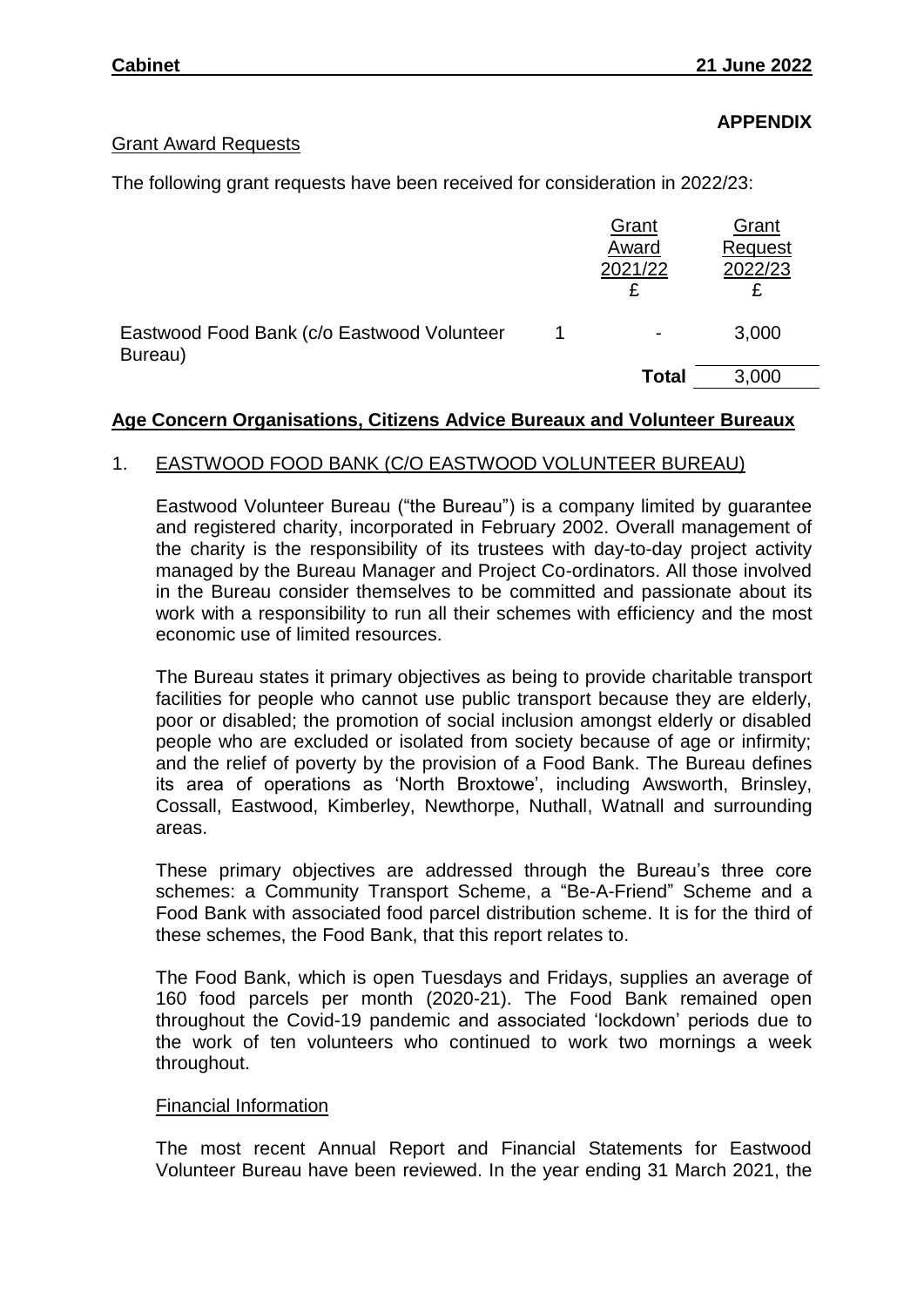**APPENDIX**

## Grant Award Requests

The following grant requests have been received for consideration in 2022/23:

|                                                       | Grant<br>Award<br>2021/22 | Grant<br>Request<br>2022/23 |
|-------------------------------------------------------|---------------------------|-----------------------------|
| Eastwood Food Bank (c/o Eastwood Volunteer<br>Bureau) | $\blacksquare$            | 3,000                       |
|                                                       | <b>Total</b>              | 3,000                       |

### **Age Concern Organisations, Citizens Advice Bureaux and Volunteer Bureaux**

### 1. EASTWOOD FOOD BANK (C/O EASTWOOD VOLUNTEER BUREAU)

Eastwood Volunteer Bureau ("the Bureau") is a company limited by guarantee and registered charity, incorporated in February 2002. Overall management of the charity is the responsibility of its trustees with day-to-day project activity managed by the Bureau Manager and Project Co-ordinators. All those involved in the Bureau consider themselves to be committed and passionate about its work with a responsibility to run all their schemes with efficiency and the most economic use of limited resources.

The Bureau states it primary objectives as being to provide charitable transport facilities for people who cannot use public transport because they are elderly, poor or disabled; the promotion of social inclusion amongst elderly or disabled people who are excluded or isolated from society because of age or infirmity; and the relief of poverty by the provision of a Food Bank. The Bureau defines its area of operations as 'North Broxtowe', including Awsworth, Brinsley, Cossall, Eastwood, Kimberley, Newthorpe, Nuthall, Watnall and surrounding areas.

These primary objectives are addressed through the Bureau's three core schemes: a Community Transport Scheme, a "Be-A-Friend" Scheme and a Food Bank with associated food parcel distribution scheme. It is for the third of these schemes, the Food Bank, that this report relates to.

The Food Bank, which is open Tuesdays and Fridays, supplies an average of 160 food parcels per month (2020-21). The Food Bank remained open throughout the Covid-19 pandemic and associated 'lockdown' periods due to the work of ten volunteers who continued to work two mornings a week throughout.

#### Financial Information

The most recent Annual Report and Financial Statements for Eastwood Volunteer Bureau have been reviewed. In the year ending 31 March 2021, the